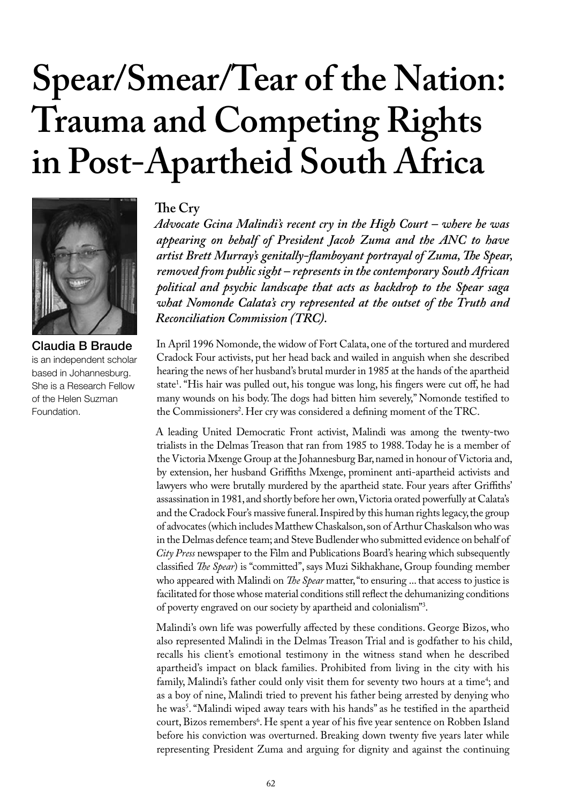# **Spear/Smear/Tear of the Nation: Trauma and Competing Rights in Post-Apartheid South Africa**



Claudia B Braude is an independent scholar based in Johannesburg. She is a Research Fellow of the Helen Suzman Foundation.

## **The Cry**

*Advocate Gcina Malindi's recent cry in the High Court – where he was appearing on behalf of President Jacob Zuma and the ANC to have artist Brett Murray's genitally-flamboyant portrayal of Zuma, The Spear, removed from public sight – represents in the contemporary South African political and psychic landscape that acts as backdrop to the Spear saga what Nomonde Calata's cry represented at the outset of the Truth and Reconciliation Commission (TRC).* 

In April 1996 Nomonde, the widow of Fort Calata, one of the tortured and murdered Cradock Four activists, put her head back and wailed in anguish when she described hearing the news of her husband's brutal murder in 1985 at the hands of the apartheid state1 . "His hair was pulled out, his tongue was long, his fingers were cut off, he had many wounds on his body. The dogs had bitten him severely," Nomonde testified to the Commissioners<sup>2</sup>. Her cry was considered a defining moment of the TRC.

A leading United Democratic Front activist, Malindi was among the twenty-two trialists in the Delmas Treason that ran from 1985 to 1988. Today he is a member of the Victoria Mxenge Group at the Johannesburg Bar, named in honour of Victoria and, by extension, her husband Griffiths Mxenge, prominent anti-apartheid activists and lawyers who were brutally murdered by the apartheid state. Four years after Griffiths' assassination in 1981, and shortly before her own, Victoria orated powerfully at Calata's and the Cradock Four's massive funeral. Inspired by this human rights legacy, the group of advocates (which includes Matthew Chaskalson, son of Arthur Chaskalson who was in the Delmas defence team; and Steve Budlender who submitted evidence on behalf of *City Press* newspaper to the Film and Publications Board's hearing which subsequently classified *The Spear*) is "committed", says Muzi Sikhakhane, Group founding member who appeared with Malindi on *The Spear* matter, "to ensuring ... that access to justice is facilitated for those whose material conditions still reflect the dehumanizing conditions of poverty engraved on our society by apartheid and colonialism"3 .

Malindi's own life was powerfully affected by these conditions. George Bizos, who also represented Malindi in the Delmas Treason Trial and is godfather to his child, recalls his client's emotional testimony in the witness stand when he described apartheid's impact on black families. Prohibited from living in the city with his family, Malindi's father could only visit them for seventy two hours at a time<sup>4</sup>; and as a boy of nine, Malindi tried to prevent his father being arrested by denying who he was5 . "Malindi wiped away tears with his hands" as he testified in the apartheid court, Bizos remembers<sup>6</sup>. He spent a year of his five year sentence on Robben Island before his conviction was overturned. Breaking down twenty five years later while representing President Zuma and arguing for dignity and against the continuing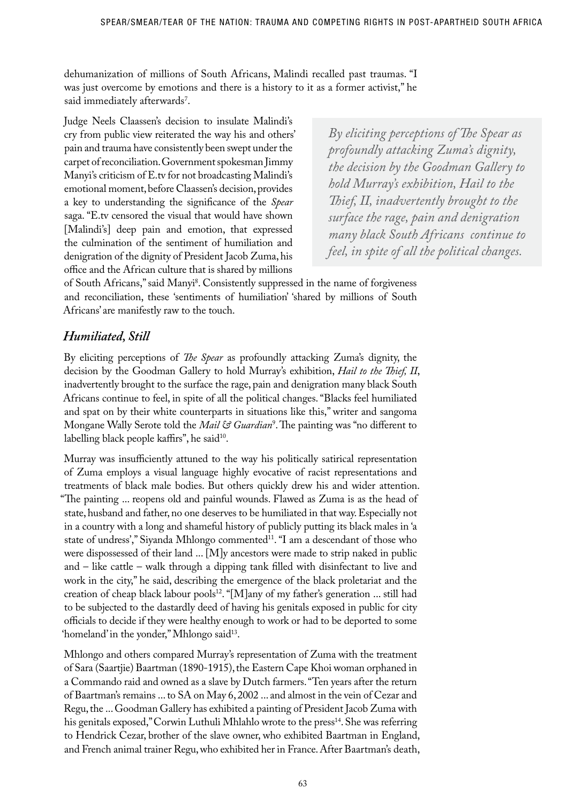dehumanization of millions of South Africans, Malindi recalled past traumas. "I was just overcome by emotions and there is a history to it as a former activist," he said immediately afterwards'.

Judge Neels Claassen's decision to insulate Malindi's cry from public view reiterated the way his and others' pain and trauma have consistently been swept under the carpet of reconciliation. Government spokesman Jimmy Manyi's criticism of E.tv for not broadcasting Malindi's emotional moment, before Claassen's decision, provides a key to understanding the significance of the *Spear* saga. "E.tv censored the visual that would have shown [Malindi's] deep pain and emotion, that expressed the culmination of the sentiment of humiliation and denigration of the dignity of President Jacob Zuma, his office and the African culture that is shared by millions

*By eliciting perceptions of The Spear as profoundly attacking Zuma's dignity, the decision by the Goodman Gallery to hold Murray's exhibition, Hail to the Thief, II, inadvertently brought to the surface the rage, pain and denigration many black South Africans continue to feel, in spite of all the political changes.*

of South Africans," said Manyi8 . Consistently suppressed in the name of forgiveness and reconciliation, these 'sentiments of humiliation' 'shared by millions of South Africans' are manifestly raw to the touch.

## *Humiliated, Still*

By eliciting perceptions of *The Spear* as profoundly attacking Zuma's dignity, the decision by the Goodman Gallery to hold Murray's exhibition, *Hail to the Thief, II*, inadvertently brought to the surface the rage, pain and denigration many black South Africans continue to feel, in spite of all the political changes. "Blacks feel humiliated and spat on by their white counterparts in situations like this," writer and sangoma Mongane Wally Serote told the *Mail & Guardian*<sup>9</sup> . The painting was "no different to labelling black people kaffirs", he said<sup>10</sup>.

Murray was insufficiently attuned to the way his politically satirical representation of Zuma employs a visual language highly evocative of racist representations and treatments of black male bodies. But others quickly drew his and wider attention. "The painting ... reopens old and painful wounds. Flawed as Zuma is as the head of state, husband and father, no one deserves to be humiliated in that way. Especially not in a country with a long and shameful history of publicly putting its black males in 'a state of undress'," Siyanda Mhlongo commented<sup>11</sup>. "I am a descendant of those who were dispossessed of their land ... [M]y ancestors were made to strip naked in public and – like cattle – walk through a dipping tank filled with disinfectant to live and work in the city," he said, describing the emergence of the black proletariat and the creation of cheap black labour pools<sup>12</sup>. "[M]any of my father's generation ... still had to be subjected to the dastardly deed of having his genitals exposed in public for city officials to decide if they were healthy enough to work or had to be deported to some 'homeland' in the yonder," Mhlongo said<sup>13</sup>.

Mhlongo and others compared Murray's representation of Zuma with the treatment of Sara (Saartjie) Baartman (1890-1915), the Eastern Cape Khoi woman orphaned in a Commando raid and owned as a slave by Dutch farmers. "Ten years after the return of Baartman's remains ... to SA on May 6, 2002 ... and almost in the vein of Cezar and Regu, the ... Goodman Gallery has exhibited a painting of President Jacob Zuma with his genitals exposed," Corwin Luthuli Mhlahlo wrote to the press<sup>14</sup>. She was referring to Hendrick Cezar, brother of the slave owner, who exhibited Baartman in England, and French animal trainer Regu, who exhibited her in France. After Baartman's death,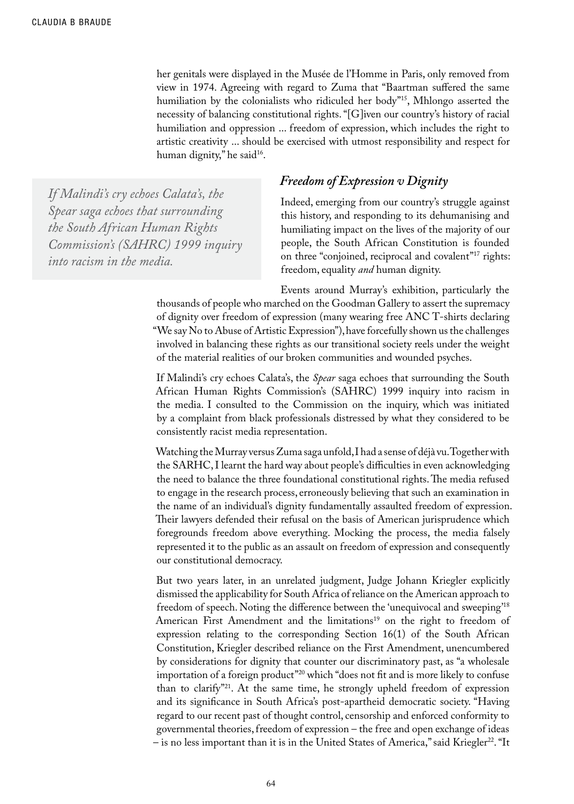her genitals were displayed in the Musée de l'Homme in Paris, only removed from view in 1974. Agreeing with regard to Zuma that "Baartman suffered the same humiliation by the colonialists who ridiculed her body"<sup>15</sup>, Mhlongo asserted the necessity of balancing constitutional rights. "[G]iven our country's history of racial humiliation and oppression ... freedom of expression, which includes the right to artistic creativity ... should be exercised with utmost responsibility and respect for human dignity," he said<sup>16</sup>.

*If Malindi's cry echoes Calata's, the Spear saga echoes that surrounding the South African Human Rights Commission's (SAHRC) 1999 inquiry into racism in the media.*

## *Freedom of Expression v Dignity*

Indeed, emerging from our country's struggle against this history, and responding to its dehumanising and humiliating impact on the lives of the majority of our people, the South African Constitution is founded on three "conjoined, reciprocal and covalent"<sup>17</sup> rights: freedom, equality *and* human dignity.

Events around Murray's exhibition, particularly the thousands of people who marched on the Goodman Gallery to assert the supremacy of dignity over freedom of expression (many wearing free ANC T-shirts declaring "We say No to Abuse of Artistic Expression"), have forcefully shown us the challenges involved in balancing these rights as our transitional society reels under the weight of the material realities of our broken communities and wounded psyches.

If Malindi's cry echoes Calata's, the *Spear* saga echoes that surrounding the South African Human Rights Commission's (SAHRC) 1999 inquiry into racism in the media. I consulted to the Commission on the inquiry, which was initiated by a complaint from black professionals distressed by what they considered to be consistently racist media representation.

Watching the Murray versus Zuma saga unfold, I had a sense of déjà vu. Together with the SARHC, I learnt the hard way about people's difficulties in even acknowledging the need to balance the three foundational constitutional rights. The media refused to engage in the research process, erroneously believing that such an examination in the name of an individual's dignity fundamentally assaulted freedom of expression. Their lawyers defended their refusal on the basis of American jurisprudence which foregrounds freedom above everything. Mocking the process, the media falsely represented it to the public as an assault on freedom of expression and consequently our constitutional democracy.

But two years later, in an unrelated judgment, Judge Johann Kriegler explicitly dismissed the applicability for South Africa of reliance on the American approach to freedom of speech. Noting the difference between the 'unequivocal and sweeping'18 American First Amendment and the limitations<sup>19</sup> on the right to freedom of expression relating to the corresponding Section 16(1) of the South African Constitution, Kriegler described reliance on the First Amendment, unencumbered by considerations for dignity that counter our discriminatory past, as "a wholesale importation of a foreign product"20 which "does not fit and is more likely to confuse than to clarify"21. At the same time, he strongly upheld freedom of expression and its significance in South Africa's post-apartheid democratic society. "Having regard to our recent past of thought control, censorship and enforced conformity to governmental theories, freedom of expression – the free and open exchange of ideas – is no less important than it is in the United States of America," said Kriegler<sup>22</sup>. "It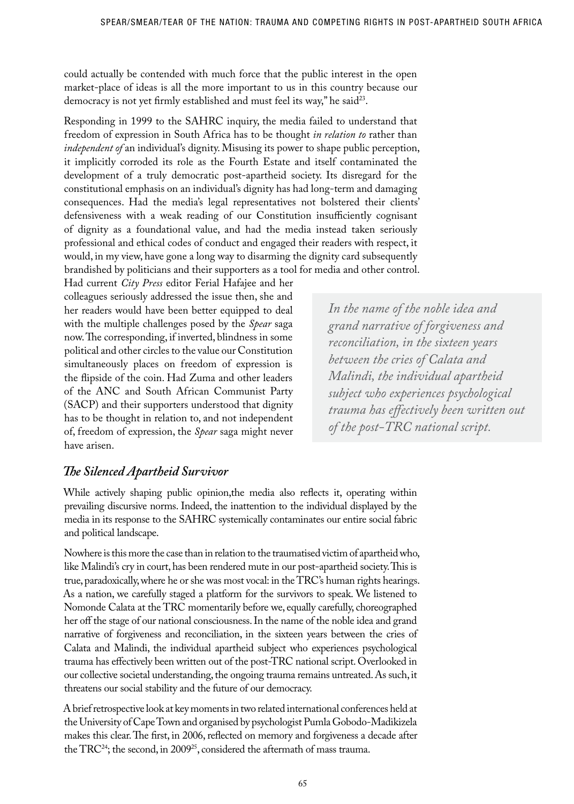could actually be contended with much force that the public interest in the open market-place of ideas is all the more important to us in this country because our democracy is not yet firmly established and must feel its way," he said<sup>23</sup>.

Responding in 1999 to the SAHRC inquiry, the media failed to understand that freedom of expression in South Africa has to be thought *in relation to* rather than *independent of* an individual's dignity. Misusing its power to shape public perception, it implicitly corroded its role as the Fourth Estate and itself contaminated the development of a truly democratic post-apartheid society. Its disregard for the constitutional emphasis on an individual's dignity has had long-term and damaging consequences. Had the media's legal representatives not bolstered their clients' defensiveness with a weak reading of our Constitution insufficiently cognisant of dignity as a foundational value, and had the media instead taken seriously professional and ethical codes of conduct and engaged their readers with respect, it would, in my view, have gone a long way to disarming the dignity card subsequently brandished by politicians and their supporters as a tool for media and other control.

Had current *City Press* editor Ferial Hafajee and her colleagues seriously addressed the issue then, she and her readers would have been better equipped to deal with the multiple challenges posed by the *Spear* saga now. The corresponding, if inverted, blindness in some political and other circles to the value our Constitution simultaneously places on freedom of expression is the flipside of the coin. Had Zuma and other leaders of the ANC and South African Communist Party (SACP) and their supporters understood that dignity has to be thought in relation to, and not independent of, freedom of expression, the *Spear* saga might never have arisen.

*In the name of the noble idea and grand narrative of forgiveness and reconciliation, in the sixteen years between the cries of Calata and Malindi, the individual apartheid subject who experiences psychological trauma has effectively been written out of the post-TRC national script.*

## *The Silenced Apartheid Survivor*

While actively shaping public opinion,the media also reflects it, operating within prevailing discursive norms. Indeed, the inattention to the individual displayed by the media in its response to the SAHRC systemically contaminates our entire social fabric and political landscape.

Nowhere is this more the case than in relation to the traumatised victim of apartheid who, like Malindi's cry in court, has been rendered mute in our post-apartheid society. This is true, paradoxically, where he or she was most vocal: in the TRC's human rights hearings. As a nation, we carefully staged a platform for the survivors to speak. We listened to Nomonde Calata at the TRC momentarily before we, equally carefully, choreographed her off the stage of our national consciousness. In the name of the noble idea and grand narrative of forgiveness and reconciliation, in the sixteen years between the cries of Calata and Malindi, the individual apartheid subject who experiences psychological trauma has effectively been written out of the post-TRC national script. Overlooked in our collective societal understanding, the ongoing trauma remains untreated. As such, it threatens our social stability and the future of our democracy.

A brief retrospective look at key moments in two related international conferences held at the University of Cape Town and organised by psychologist Pumla Gobodo-Madikizela makes this clear. The first, in 2006, reflected on memory and forgiveness a decade after the TRC24; the second, in 200925, considered the aftermath of mass trauma.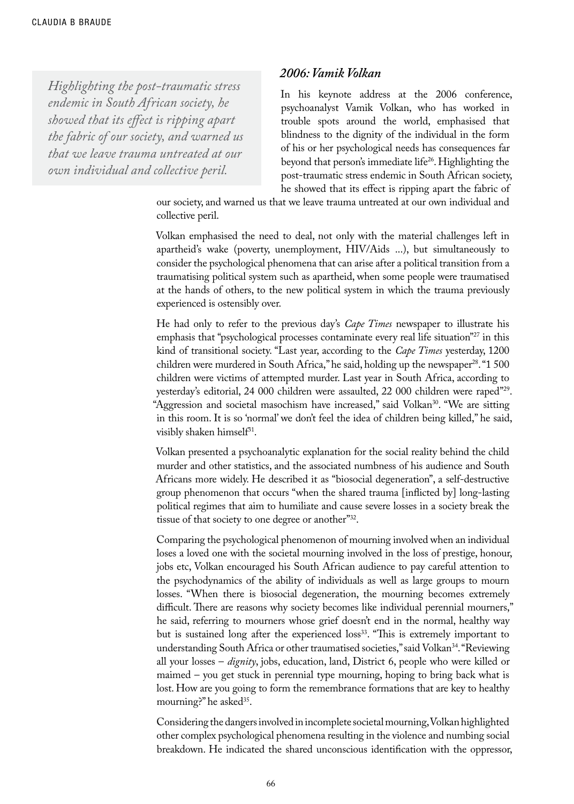*Highlighting the post-traumatic stress endemic in South African society, he showed that its effect is ripping apart the fabric of our society, and warned us that we leave trauma untreated at our own individual and collective peril.*

#### *2006: Vamik Volkan*

In his keynote address at the 2006 conference, psychoanalyst Vamik Volkan, who has worked in trouble spots around the world, emphasised that blindness to the dignity of the individual in the form of his or her psychological needs has consequences far beyond that person's immediate life<sup>26</sup>. Highlighting the post-traumatic stress endemic in South African society, he showed that its effect is ripping apart the fabric of

our society, and warned us that we leave trauma untreated at our own individual and collective peril.

Volkan emphasised the need to deal, not only with the material challenges left in apartheid's wake (poverty, unemployment, HIV/Aids ...), but simultaneously to consider the psychological phenomena that can arise after a political transition from a traumatising political system such as apartheid, when some people were traumatised at the hands of others, to the new political system in which the trauma previously experienced is ostensibly over.

He had only to refer to the previous day's *Cape Times* newspaper to illustrate his emphasis that "psychological processes contaminate every real life situation"<sup>27</sup> in this kind of transitional society. "Last year, according to the *Cape Times* yesterday, 1200 children were murdered in South Africa," he said, holding up the newspaper<sup>28</sup>. "1 500 children were victims of attempted murder. Last year in South Africa, according to yesterday's editorial, 24 000 children were assaulted, 22 000 children were raped"29. "Aggression and societal masochism have increased," said Volkan<sup>30</sup>. "We are sitting in this room. It is so 'normal' we don't feel the idea of children being killed," he said, visibly shaken himself<sup>31</sup>.

Volkan presented a psychoanalytic explanation for the social reality behind the child murder and other statistics, and the associated numbness of his audience and South Africans more widely. He described it as "biosocial degeneration", a self-destructive group phenomenon that occurs "when the shared trauma [inflicted by] long-lasting political regimes that aim to humiliate and cause severe losses in a society break the tissue of that society to one degree or another"32.

Comparing the psychological phenomenon of mourning involved when an individual loses a loved one with the societal mourning involved in the loss of prestige, honour, jobs etc, Volkan encouraged his South African audience to pay careful attention to the psychodynamics of the ability of individuals as well as large groups to mourn losses. "When there is biosocial degeneration, the mourning becomes extremely difficult. There are reasons why society becomes like individual perennial mourners," he said, referring to mourners whose grief doesn't end in the normal, healthy way but is sustained long after the experienced loss<sup>33</sup>. "This is extremely important to understanding South Africa or other traumatised societies," said Volkan<sup>34</sup>. "Reviewing all your losses – *dignity*, jobs, education, land, District 6, people who were killed or maimed – you get stuck in perennial type mourning, hoping to bring back what is lost. How are you going to form the remembrance formations that are key to healthy mourning?" he asked<sup>35</sup>.

Considering the dangers involved in incomplete societal mourning, Volkan highlighted other complex psychological phenomena resulting in the violence and numbing social breakdown. He indicated the shared unconscious identification with the oppressor,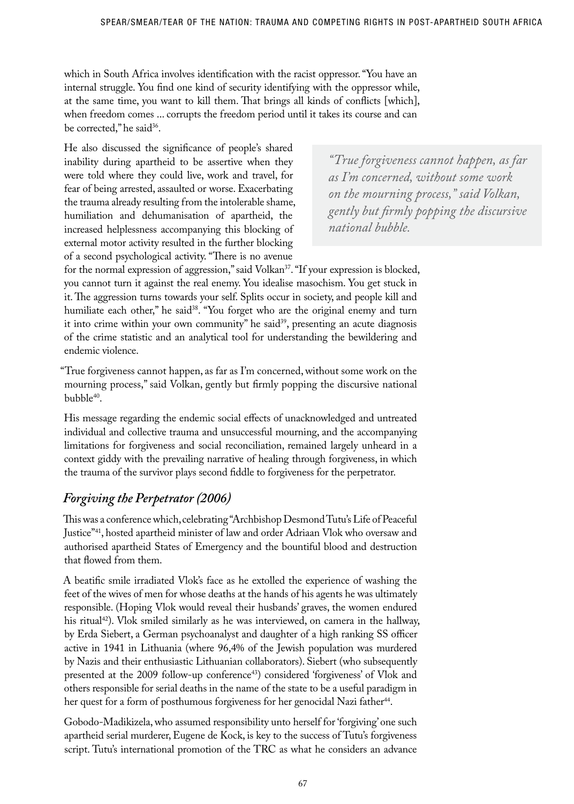which in South Africa involves identification with the racist oppressor. "You have an internal struggle. You find one kind of security identifying with the oppressor while, at the same time, you want to kill them. That brings all kinds of conflicts [which], when freedom comes ... corrupts the freedom period until it takes its course and can be corrected," he said<sup>36</sup>.

He also discussed the significance of people's shared inability during apartheid to be assertive when they were told where they could live, work and travel, for fear of being arrested, assaulted or worse. Exacerbating the trauma already resulting from the intolerable shame, humiliation and dehumanisation of apartheid, the increased helplessness accompanying this blocking of external motor activity resulted in the further blocking of a second psychological activity. "There is no avenue

*"True forgiveness cannot happen, as far as I'm concerned, without some work on the mourning process," said Volkan, gently but firmly popping the discursive national bubble.* 

for the normal expression of aggression," said Volkan<sup>37</sup>. "If your expression is blocked, you cannot turn it against the real enemy. You idealise masochism. You get stuck in it. The aggression turns towards your self. Splits occur in society, and people kill and humiliate each other," he said<sup>38</sup>. "You forget who are the original enemy and turn it into crime within your own community" he said<sup>39</sup>, presenting an acute diagnosis of the crime statistic and an analytical tool for understanding the bewildering and endemic violence.

"True forgiveness cannot happen, as far as I'm concerned, without some work on the mourning process," said Volkan, gently but firmly popping the discursive national bubble<sup>40</sup>.

His message regarding the endemic social effects of unacknowledged and untreated individual and collective trauma and unsuccessful mourning, and the accompanying limitations for forgiveness and social reconciliation, remained largely unheard in a context giddy with the prevailing narrative of healing through forgiveness, in which the trauma of the survivor plays second fiddle to forgiveness for the perpetrator.

# *Forgiving the Perpetrator (2006)*

This was a conference which, celebrating "Archbishop Desmond Tutu's Life of Peaceful Justice"41, hosted apartheid minister of law and order Adriaan Vlok who oversaw and authorised apartheid States of Emergency and the bountiful blood and destruction that flowed from them.

A beatific smile irradiated Vlok's face as he extolled the experience of washing the feet of the wives of men for whose deaths at the hands of his agents he was ultimately responsible. (Hoping Vlok would reveal their husbands' graves, the women endured his ritual<sup>42</sup>). Vlok smiled similarly as he was interviewed, on camera in the hallway, by Erda Siebert, a German psychoanalyst and daughter of a high ranking SS officer active in 1941 in Lithuania (where 96,4% of the Jewish population was murdered by Nazis and their enthusiastic Lithuanian collaborators). Siebert (who subsequently presented at the 2009 follow-up conference<sup>43</sup>) considered 'forgiveness' of Vlok and others responsible for serial deaths in the name of the state to be a useful paradigm in her quest for a form of posthumous forgiveness for her genocidal Nazi father<sup>44</sup>.

Gobodo-Madikizela, who assumed responsibility unto herself for 'forgiving' one such apartheid serial murderer, Eugene de Kock, is key to the success of Tutu's forgiveness script. Tutu's international promotion of the TRC as what he considers an advance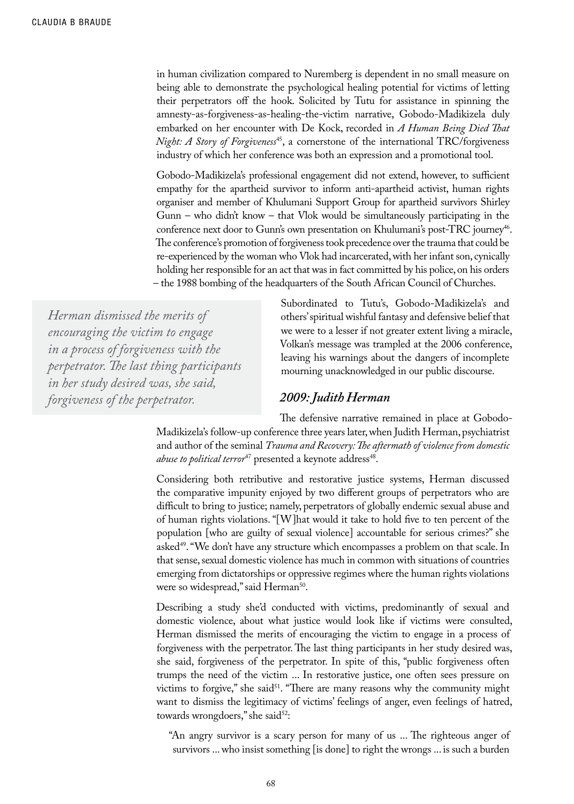in human civilization compared to Nuremberg is dependent in no small measure on being able to demonstrate the psychological healing potential for victims of letting their perpetrators off the hook. Solicited by Tutu for assistance in spinning the amnesty-as-forgiveness-as-healing-the-victim narrative, Gobodo-Madikizela duly embarked on her encounter with De Kock, recorded in *A Human Being Died That Night: A Story of Forgiveness<sup>45</sup>*, a cornerstone of the international TRC/forgiveness industry of which her conference was both an expression and a promotional tool.

Gobodo-Madikizela's professional engagement did not extend, however, to sufficient empathy for the apartheid survivor to inform anti-apartheid activist, human rights organiser and member of Khulumani Support Group for apartheid survivors Shirley Gunn – who didn't know – that Vlok would be simultaneously participating in the conference next door to Gunn's own presentation on Khulumani's post-TRC journey<sup>46</sup>. The conference's promotion of forgiveness took precedence over the trauma that could be re-experienced by the woman who Vlok had incarcerated, with her infant son, cynically holding her responsible for an act that was in fact committed by his police, on his orders – the 1988 bombing of the headquarters of the South African Council of Churches.

*Herman dismissed the merits of encouraging the victim to engage in a process of forgiveness with the perpetrator. The last thing participants in her study desired was, she said, forgiveness of the perpetrator.*

Subordinated to Tutu's, Gobodo-Madikizela's and others' spiritual wishful fantasy and defensive belief that we were to a lesser if not greater extent living a miracle, Volkan's message was trampled at the 2006 conference, leaving his warnings about the dangers of incomplete mourning unacknowledged in our public discourse.

#### *2009: Judith Herman*

The defensive narrative remained in place at Gobodo-Madikizela's follow-up conference three years later, when Judith Herman, psychiatrist and author of the seminal *Trauma and Recovery: The aftermath of violence from domestic abuse to political terror*<sup>47</sup> presented a keynote address<sup>48</sup>.

Considering both retributive and restorative justice systems, Herman discussed the comparative impunity enjoyed by two different groups of perpetrators who are difficult to bring to justice; namely, perpetrators of globally endemic sexual abuse and of human rights violations. "[W]hat would it take to hold five to ten percent of the population [who are guilty of sexual violence] accountable for serious crimes?" she asked<sup>49</sup>. "We don't have any structure which encompasses a problem on that scale. In that sense, sexual domestic violence has much in common with situations of countries emerging from dictatorships or oppressive regimes where the human rights violations were so widespread," said Herman<sup>50</sup>.

Describing a study she'd conducted with victims, predominantly of sexual and domestic violence, about what justice would look like if victims were consulted, Herman dismissed the merits of encouraging the victim to engage in a process of forgiveness with the perpetrator. The last thing participants in her study desired was, she said, forgiveness of the perpetrator. In spite of this, "public forgiveness often trumps the need of the victim ... In restorative justice, one often sees pressure on victims to forgive," she said<sup>51</sup>. "There are many reasons why the community might want to dismiss the legitimacy of victims' feelings of anger, even feelings of hatred, towards wrongdoers," she said<sup>52</sup>:

"An angry survivor is a scary person for many of us ... The righteous anger of survivors ... who insist something [is done] to right the wrongs ... is such a burden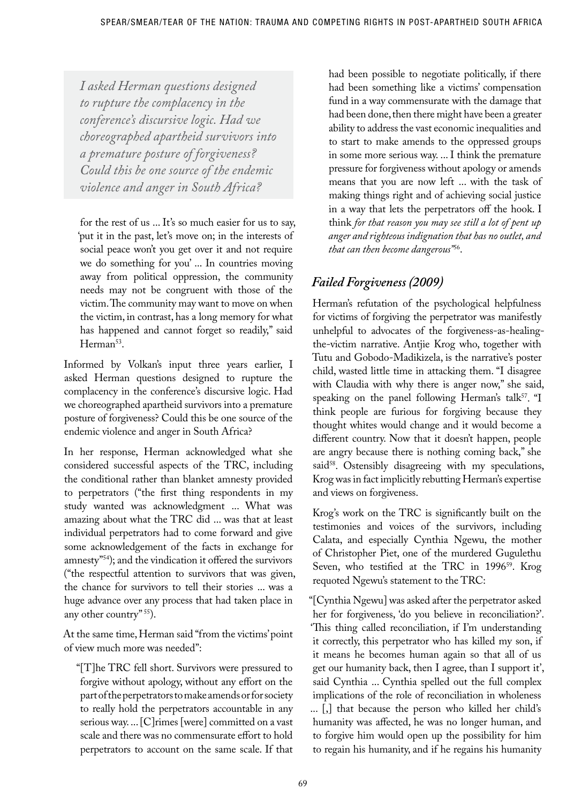*I asked Herman questions designed to rupture the complacency in the conference's discursive logic. Had we choreographed apartheid survivors into a premature posture of forgiveness? Could this be one source of the endemic violence and anger in South Africa?*

for the rest of us ... It's so much easier for us to say, 'put it in the past, let's move on; in the interests of social peace won't you get over it and not require we do something for you' ... In countries moving away from political oppression, the community needs may not be congruent with those of the victim. The community may want to move on when the victim, in contrast, has a long memory for what has happened and cannot forget so readily," said Herman<sup>53</sup>.

Informed by Volkan's input three years earlier, I asked Herman questions designed to rupture the complacency in the conference's discursive logic. Had we choreographed apartheid survivors into a premature posture of forgiveness? Could this be one source of the endemic violence and anger in South Africa?

In her response, Herman acknowledged what she considered successful aspects of the TRC, including the conditional rather than blanket amnesty provided to perpetrators ("the first thing respondents in my study wanted was acknowledgment ... What was amazing about what the TRC did ... was that at least individual perpetrators had to come forward and give some acknowledgement of the facts in exchange for amnesty"54); and the vindication it offered the survivors ("the respectful attention to survivors that was given, the chance for survivors to tell their stories ... was a huge advance over any process that had taken place in any other country" 55).

At the same time, Herman said "from the victims' point of view much more was needed":

"[T]he TRC fell short. Survivors were pressured to forgive without apology, without any effort on the part of the perpetrators to make amends or for society to really hold the perpetrators accountable in any serious way. ... [C]rimes [were] committed on a vast scale and there was no commensurate effort to hold perpetrators to account on the same scale. If that had been possible to negotiate politically, if there had been something like a victims' compensation fund in a way commensurate with the damage that had been done, then there might have been a greater ability to address the vast economic inequalities and to start to make amends to the oppressed groups in some more serious way. ... I think the premature pressure for forgiveness without apology or amends means that you are now left ... with the task of making things right and of achieving social justice in a way that lets the perpetrators off the hook. I think *for that reason you may see still a lot of pent up anger and righteous indignation that has no outlet, and that can then become dangerous"*56.

# *Failed Forgiveness (2009)*

Herman's refutation of the psychological helpfulness for victims of forgiving the perpetrator was manifestly unhelpful to advocates of the forgiveness-as-healingthe-victim narrative. Antjie Krog who, together with Tutu and Gobodo-Madikizela, is the narrative's poster child, wasted little time in attacking them. "I disagree with Claudia with why there is anger now," she said, speaking on the panel following Herman's talk<sup>57</sup>. "I think people are furious for forgiving because they thought whites would change and it would become a different country. Now that it doesn't happen, people are angry because there is nothing coming back," she said<sup>58</sup>. Ostensibly disagreeing with my speculations, Krog was in fact implicitly rebutting Herman's expertise and views on forgiveness.

Krog's work on the TRC is significantly built on the testimonies and voices of the survivors, including Calata, and especially Cynthia Ngewu, the mother of Christopher Piet, one of the murdered Gugulethu Seven, who testified at the TRC in 1996<sup>59</sup>. Krog requoted Ngewu's statement to the TRC:

"[Cynthia Ngewu] was asked after the perpetrator asked her for forgiveness, 'do you believe in reconciliation?'. 'This thing called reconciliation, if I'm understanding it correctly, this perpetrator who has killed my son, if it means he becomes human again so that all of us get our humanity back, then I agree, than I support it', said Cynthia ... Cynthia spelled out the full complex implications of the role of reconciliation in wholeness ... [,] that because the person who killed her child's humanity was affected, he was no longer human, and to forgive him would open up the possibility for him to regain his humanity, and if he regains his humanity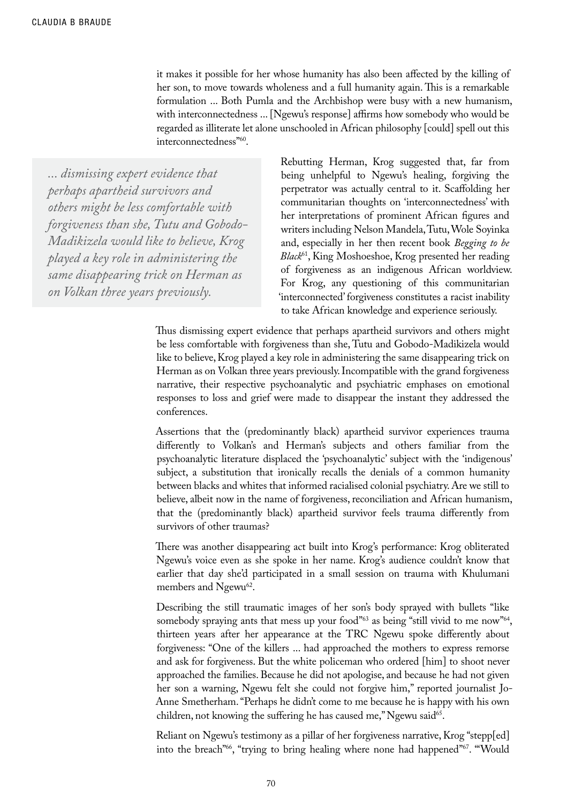it makes it possible for her whose humanity has also been affected by the killing of her son, to move towards wholeness and a full humanity again. This is a remarkable formulation ... Both Pumla and the Archbishop were busy with a new humanism, with interconnectedness ... [Ngewu's response] affirms how somebody who would be regarded as illiterate let alone unschooled in African philosophy [could] spell out this interconnectedness"60.

*... dismissing expert evidence that perhaps apartheid survivors and others might be less comfortable with forgiveness than she, Tutu and Gobodo-Madikizela would like to believe, Krog played a key role in administering the same disappearing trick on Herman as on Volkan three years previously.*

Rebutting Herman, Krog suggested that, far from being unhelpful to Ngewu's healing, forgiving the perpetrator was actually central to it. Scaffolding her communitarian thoughts on 'interconnectedness' with her interpretations of prominent African figures and writers including Nelson Mandela, Tutu, Wole Soyinka and, especially in her then recent book *Begging to be Black*61, King Moshoeshoe, Krog presented her reading of forgiveness as an indigenous African worldview. For Krog, any questioning of this communitarian 'interconnected' forgiveness constitutes a racist inability to take African knowledge and experience seriously.

Thus dismissing expert evidence that perhaps apartheid survivors and others might be less comfortable with forgiveness than she, Tutu and Gobodo-Madikizela would like to believe, Krog played a key role in administering the same disappearing trick on Herman as on Volkan three years previously. Incompatible with the grand forgiveness narrative, their respective psychoanalytic and psychiatric emphases on emotional responses to loss and grief were made to disappear the instant they addressed the conferences.

Assertions that the (predominantly black) apartheid survivor experiences trauma differently to Volkan's and Herman's subjects and others familiar from the psychoanalytic literature displaced the 'psychoanalytic' subject with the 'indigenous' subject, a substitution that ironically recalls the denials of a common humanity between blacks and whites that informed racialised colonial psychiatry. Are we still to believe, albeit now in the name of forgiveness, reconciliation and African humanism, that the (predominantly black) apartheid survivor feels trauma differently from survivors of other traumas?

There was another disappearing act built into Krog's performance: Krog obliterated Ngewu's voice even as she spoke in her name. Krog's audience couldn't know that earlier that day she'd participated in a small session on trauma with Khulumani members and Ngewu<sup>62</sup>.

Describing the still traumatic images of her son's body sprayed with bullets "like somebody spraying ants that mess up your food"<sup>63</sup> as being "still vivid to me now"<sup>64</sup>, thirteen years after her appearance at the TRC Ngewu spoke differently about forgiveness: "One of the killers ... had approached the mothers to express remorse and ask for forgiveness. But the white policeman who ordered [him] to shoot never approached the families. Because he did not apologise, and because he had not given her son a warning, Ngewu felt she could not forgive him," reported journalist Jo-Anne Smetherham. "Perhaps he didn't come to me because he is happy with his own children, not knowing the suffering he has caused me," Ngewu said<sup>65</sup>.

Reliant on Ngewu's testimony as a pillar of her forgiveness narrative, Krog "stepp[ed] into the breach"<sup>66</sup>, "trying to bring healing where none had happened"<sup>67</sup>. "'Would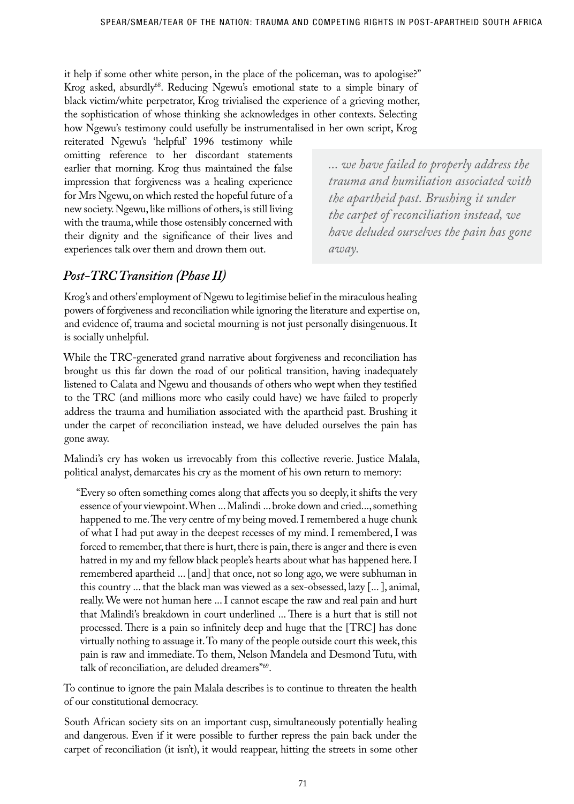it help if some other white person, in the place of the policeman, was to apologise?" Krog asked, absurdly<sup>68</sup>. Reducing Ngewu's emotional state to a simple binary of black victim/white perpetrator, Krog trivialised the experience of a grieving mother, the sophistication of whose thinking she acknowledges in other contexts. Selecting how Ngewu's testimony could usefully be instrumentalised in her own script, Krog

reiterated Ngewu's 'helpful' 1996 testimony while omitting reference to her discordant statements earlier that morning. Krog thus maintained the false impression that forgiveness was a healing experience for Mrs Ngewu, on which rested the hopeful future of a new society. Ngewu, like millions of others, is still living with the trauma, while those ostensibly concerned with their dignity and the significance of their lives and experiences talk over them and drown them out.

*... we have failed to properly address the trauma and humiliation associated with the apartheid past. Brushing it under the carpet of reconciliation instead, we have deluded ourselves the pain has gone away.* 

# *Post-TRC Transition (Phase II)*

Krog's and others' employment of Ngewu to legitimise belief in the miraculous healing powers of forgiveness and reconciliation while ignoring the literature and expertise on, and evidence of, trauma and societal mourning is not just personally disingenuous. It is socially unhelpful.

While the TRC-generated grand narrative about forgiveness and reconciliation has brought us this far down the road of our political transition, having inadequately listened to Calata and Ngewu and thousands of others who wept when they testified to the TRC (and millions more who easily could have) we have failed to properly address the trauma and humiliation associated with the apartheid past. Brushing it under the carpet of reconciliation instead, we have deluded ourselves the pain has gone away.

Malindi's cry has woken us irrevocably from this collective reverie. Justice Malala, political analyst, demarcates his cry as the moment of his own return to memory:

"Every so often something comes along that affects you so deeply, it shifts the very essence of your viewpoint. When ... Malindi ... broke down and cried..., something happened to me. The very centre of my being moved. I remembered a huge chunk of what I had put away in the deepest recesses of my mind. I remembered, I was forced to remember, that there is hurt, there is pain, there is anger and there is even hatred in my and my fellow black people's hearts about what has happened here. I remembered apartheid ... [and] that once, not so long ago, we were subhuman in this country ... that the black man was viewed as a sex-obsessed, lazy [... ], animal, really. We were not human here ... I cannot escape the raw and real pain and hurt that Malindi's breakdown in court underlined ... There is a hurt that is still not processed. There is a pain so infinitely deep and huge that the [TRC] has done virtually nothing to assuage it. To many of the people outside court this week, this pain is raw and immediate. To them, Nelson Mandela and Desmond Tutu, with talk of reconciliation, are deluded dreamers"69.

To continue to ignore the pain Malala describes is to continue to threaten the health of our constitutional democracy.

South African society sits on an important cusp, simultaneously potentially healing and dangerous. Even if it were possible to further repress the pain back under the carpet of reconciliation (it isn't), it would reappear, hitting the streets in some other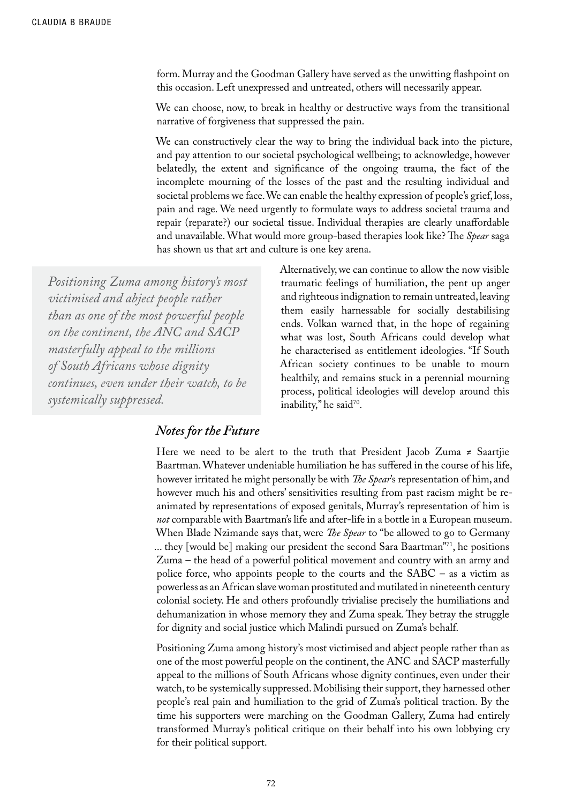form. Murray and the Goodman Gallery have served as the unwitting flashpoint on this occasion. Left unexpressed and untreated, others will necessarily appear.

We can choose, now, to break in healthy or destructive ways from the transitional narrative of forgiveness that suppressed the pain.

We can constructively clear the way to bring the individual back into the picture, and pay attention to our societal psychological wellbeing; to acknowledge, however belatedly, the extent and significance of the ongoing trauma, the fact of the incomplete mourning of the losses of the past and the resulting individual and societal problems we face. We can enable the healthy expression of people's grief, loss, pain and rage. We need urgently to formulate ways to address societal trauma and repair (reparate?) our societal tissue. Individual therapies are clearly unaffordable and unavailable. What would more group-based therapies look like? The *Spear* saga has shown us that art and culture is one key arena.

*Positioning Zuma among history's most victimised and abject people rather than as one of the most powerful people on the continent, the ANC and SACP masterfully appeal to the millions of South Africans whose dignity continues, even under their watch, to be systemically suppressed.*

Alternatively, we can continue to allow the now visible traumatic feelings of humiliation, the pent up anger and righteous indignation to remain untreated, leaving them easily harnessable for socially destabilising ends. Volkan warned that, in the hope of regaining what was lost, South Africans could develop what he characterised as entitlement ideologies. "If South African society continues to be unable to mourn healthily, and remains stuck in a perennial mourning process, political ideologies will develop around this inability," he said<sup>70</sup>.

### *Notes for the Future*

Here we need to be alert to the truth that President Jacob Zuma  $\neq$  Saartjie Baartman. Whatever undeniable humiliation he has suffered in the course of his life, however irritated he might personally be with *The Spear*'s representation of him, and however much his and others' sensitivities resulting from past racism might be reanimated by representations of exposed genitals, Murray's representation of him is *not* comparable with Baartman's life and after-life in a bottle in a European museum. When Blade Nzimande says that, were *The Spear* to "be allowed to go to Germany ... they [would be] making our president the second Sara Baartman"71, he positions Zuma – the head of a powerful political movement and country with an army and police force, who appoints people to the courts and the SABC – as a victim as powerless as an African slave woman prostituted and mutilated in nineteenth century colonial society. He and others profoundly trivialise precisely the humiliations and dehumanization in whose memory they and Zuma speak. They betray the struggle for dignity and social justice which Malindi pursued on Zuma's behalf.

Positioning Zuma among history's most victimised and abject people rather than as one of the most powerful people on the continent, the ANC and SACP masterfully appeal to the millions of South Africans whose dignity continues, even under their watch, to be systemically suppressed. Mobilising their support, they harnessed other people's real pain and humiliation to the grid of Zuma's political traction. By the time his supporters were marching on the Goodman Gallery, Zuma had entirely transformed Murray's political critique on their behalf into his own lobbying cry for their political support.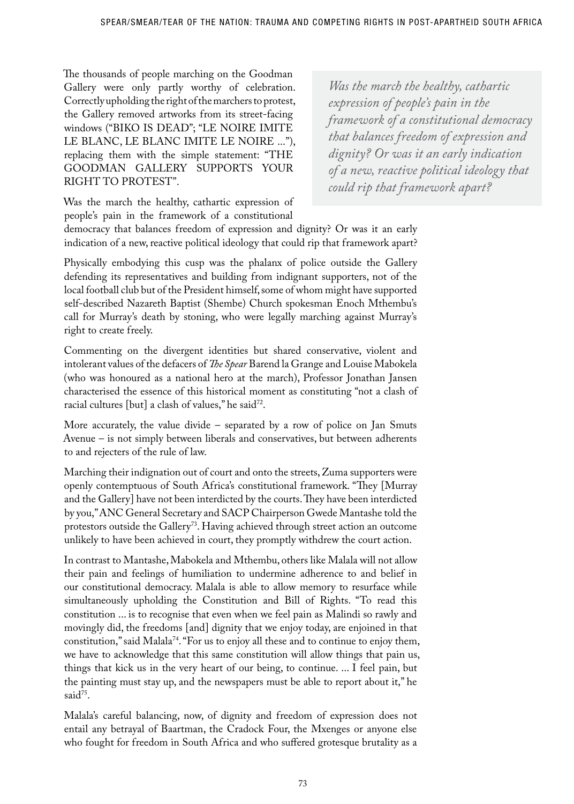The thousands of people marching on the Goodman Gallery were only partly worthy of celebration. Correctly upholding the right of the marchers to protest, the Gallery removed artworks from its street-facing windows ("BIKO IS DEAD"; "LE NOIRE IMITE LE BLANC, LE BLANC IMITE LE NOIRE ..."), replacing them with the simple statement: "THE GOODMAN GALLERY SUPPORTS YOUR RIGHT TO PROTEST".

*Was the march the healthy, cathartic expression of people's pain in the framework of a constitutional democracy that balances freedom of expression and dignity? Or was it an early indication of a new, reactive political ideology that could rip that framework apart?* 

Was the march the healthy, cathartic expression of people's pain in the framework of a constitutional

democracy that balances freedom of expression and dignity? Or was it an early indication of a new, reactive political ideology that could rip that framework apart?

Physically embodying this cusp was the phalanx of police outside the Gallery defending its representatives and building from indignant supporters, not of the local football club but of the President himself, some of whom might have supported self-described Nazareth Baptist (Shembe) Church spokesman Enoch Mthembu's call for Murray's death by stoning, who were legally marching against Murray's right to create freely.

Commenting on the divergent identities but shared conservative, violent and intolerant values of the defacers of *The Spear* Barend la Grange and Louise Mabokela (who was honoured as a national hero at the march), Professor Jonathan Jansen characterised the essence of this historical moment as constituting "not a clash of racial cultures [but] a clash of values," he said<sup>72</sup>.

More accurately, the value divide – separated by a row of police on Jan Smuts Avenue – is not simply between liberals and conservatives, but between adherents to and rejecters of the rule of law.

Marching their indignation out of court and onto the streets, Zuma supporters were openly contemptuous of South Africa's constitutional framework. "They [Murray and the Gallery] have not been interdicted by the courts. They have been interdicted by you," ANC General Secretary and SACP Chairperson Gwede Mantashe told the protestors outside the Gallery<sup>73</sup>. Having achieved through street action an outcome unlikely to have been achieved in court, they promptly withdrew the court action.

In contrast to Mantashe, Mabokela and Mthembu, others like Malala will not allow their pain and feelings of humiliation to undermine adherence to and belief in our constitutional democracy. Malala is able to allow memory to resurface while simultaneously upholding the Constitution and Bill of Rights. "To read this constitution ... is to recognise that even when we feel pain as Malindi so rawly and movingly did, the freedoms [and] dignity that we enjoy today, are enjoined in that constitution," said Malala<sup>74</sup>. "For us to enjoy all these and to continue to enjoy them, we have to acknowledge that this same constitution will allow things that pain us, things that kick us in the very heart of our being, to continue. ... I feel pain, but the painting must stay up, and the newspapers must be able to report about it," he said<sup>75</sup>.

Malala's careful balancing, now, of dignity and freedom of expression does not entail any betrayal of Baartman, the Cradock Four, the Mxenges or anyone else who fought for freedom in South Africa and who suffered grotesque brutality as a